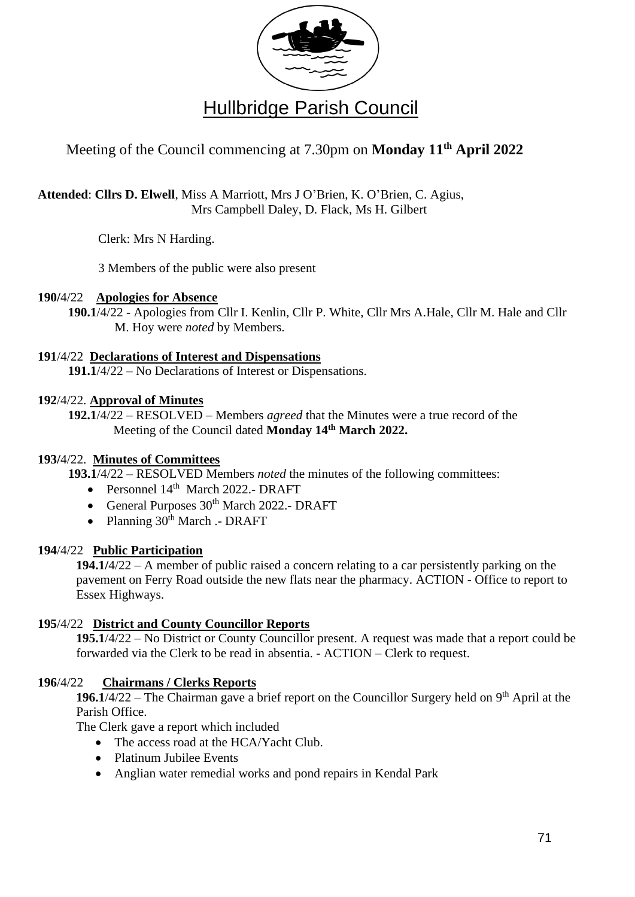

# Meeting of the Council commencing at 7.30pm on **Monday 11 th April 2022**

**Attended**: **Cllrs D. Elwell**, Miss A Marriott, Mrs J O'Brien, K. O'Brien, C. Agius, Mrs Campbell Daley, D. Flack, Ms H. Gilbert

Clerk: Mrs N Harding.

3 Members of the public were also present

# **190/**4/22 **Apologies for Absence**

**190.1**/4/22 - Apologies from Cllr I. Kenlin, Cllr P. White, Cllr Mrs A.Hale, Cllr M. Hale and Cllr M. Hoy were *noted* by Members.

# **191**/4/22 **Declarations of Interest and Dispensations**

**191.1**/4/22 – No Declarations of Interest or Dispensations.

# **192**/4/22. **Approval of Minutes**

**192.1**/4/22 – RESOLVED – Members *agreed* that the Minutes were a true record of the Meeting of the Council dated **Monday 14 th March 2022.**

# **193/**4/22. **Minutes of Committees**

**193.1**/4/22 – RESOLVED Members *noted* the minutes of the following committees:

- Personnel  $14<sup>th</sup>$  March 2022.- DRAFT
- General Purposes  $30<sup>th</sup>$  March 2022.- DRAFT
- Planning  $30<sup>th</sup>$  March .- DRAFT

# **194**/4/22 **Public Participation**

**194.1/**4/22 – A member of public raised a concern relating to a car persistently parking on the pavement on Ferry Road outside the new flats near the pharmacy. ACTION - Office to report to Essex Highways.

# **195**/4/22 **District and County Councillor Reports**

**195.1**/4/22 – No District or County Councillor present. A request was made that a report could be forwarded via the Clerk to be read in absentia. - ACTION – Clerk to request.

# **196**/4/22 **Chairmans / Clerks Reports**

**196.1**/4/22 – The Chairman gave a brief report on the Councillor Surgery held on 9<sup>th</sup> April at the Parish Office.

The Clerk gave a report which included

- The access road at the HCA/Yacht Club.
- Platinum Jubilee Events
- Anglian water remedial works and pond repairs in Kendal Park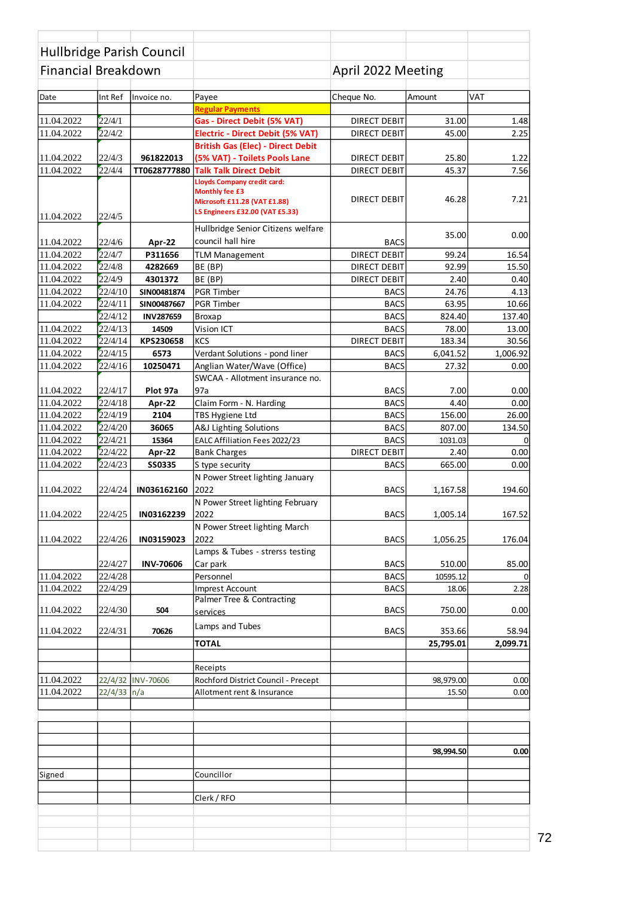| Hullbridge Parish Council<br><b>Financial Breakdown</b> |                    |                   |                                                        | April 2022 Meeting         |                  |                 |
|---------------------------------------------------------|--------------------|-------------------|--------------------------------------------------------|----------------------------|------------------|-----------------|
|                                                         |                    |                   |                                                        |                            |                  |                 |
| Date                                                    | Int Ref            | Invoice no.       | Payee                                                  | Cheque No.                 | Amount           | <b>VAT</b>      |
| 11.04.2022                                              | 22/4/1             |                   | <b>Regular Payments</b><br>Gas - Direct Debit (5% VAT) | <b>DIRECT DEBIT</b>        | 31.00            | 1.48            |
| 11.04.2022                                              | 22/4/2             |                   | <b>Electric - Direct Debit (5% VAT)</b>                | <b>DIRECT DEBIT</b>        | 45.00            | 2.25            |
|                                                         |                    |                   | <b>British Gas (Elec) - Direct Debit</b>               |                            |                  |                 |
| 11.04.2022                                              | 22/4/3             | 961822013         | (5% VAT) - Toilets Pools Lane                          | <b>DIRECT DEBIT</b>        | 25.80            | 1.22            |
| 11.04.2022                                              | 22/4/4             | TT0628777880      | <b>Talk Talk Direct Debit</b>                          | <b>DIRECT DEBIT</b>        | 45.37            | 7.56            |
|                                                         |                    |                   | Lloyds Company credit card:                            |                            |                  |                 |
|                                                         |                    |                   | <b>Monthly fee £3</b><br>Microsoft £11.28 (VAT £1.88)  | <b>DIRECT DEBIT</b>        | 46.28            | 7.21            |
|                                                         | 22/4/5             |                   | LS Engineers £32.00 (VAT £5.33)                        |                            |                  |                 |
| 11.04.2022                                              |                    |                   | Hullbridge Senior Citizens welfare                     |                            |                  |                 |
| 11.04.2022                                              | 22/4/6             |                   | council hall hire                                      | <b>BACS</b>                | 35.00            | 0.00            |
| 11.04.2022                                              | 22/4/7             | Apr-22<br>P311656 | <b>TLM Management</b>                                  | <b>DIRECT DEBIT</b>        | 99.24            | 16.54           |
| 11.04.2022                                              | 22/4/8             | 4282669           | BE (BP)                                                | <b>DIRECT DEBIT</b>        | 92.99            | 15.50           |
| 11.04.2022                                              | 22/4/9             | 4301372           | BE (BP)                                                | <b>DIRECT DEBIT</b>        | 2.40             | 0.40            |
| 11.04.2022                                              | 22/4/10            | SIN00481874       | <b>PGR Timber</b>                                      | <b>BACS</b>                | 24.76            | 4.13            |
| 11.04.2022                                              | 22/4/11            | SIN00487667       | <b>PGR Timber</b>                                      | <b>BACS</b>                | 63.95            | 10.66           |
|                                                         | 22/4/12            | <b>INV287659</b>  | <b>Broxap</b>                                          | <b>BACS</b>                | 824.40           | 137.40          |
| 11.04.2022                                              | 22/4/13            | 14509             | <b>Vision ICT</b>                                      | <b>BACS</b>                | 78.00            | 13.00           |
| 11.04.2022                                              | 22/4/14            | KPS230658         | <b>KCS</b>                                             | <b>DIRECT DEBIT</b>        | 183.34           | 30.56           |
| 11.04.2022                                              | 22/4/15            | 6573              | Verdant Solutions - pond liner                         | <b>BACS</b>                | 6,041.52         | 1,006.92        |
| 11.04.2022                                              | 22/4/16            | 10250471          | Anglian Water/Wave (Office)                            | <b>BACS</b>                | 27.32            | 0.00            |
|                                                         |                    |                   | SWCAA - Allotment insurance no.                        |                            |                  |                 |
| 11.04.2022                                              | 22/4/17            | Plot 97a          | 97a                                                    | <b>BACS</b>                | 7.00             | 0.00            |
| 11.04.2022                                              | 22/4/18<br>22/4/19 | Apr-22            | Claim Form - N. Harding                                | <b>BACS</b>                | 4.40             | 0.00            |
| 11.04.2022<br>11.04.2022                                | 22/4/20            | 2104<br>36065     | <b>TBS Hygiene Ltd</b><br>A&J Lighting Solutions       | <b>BACS</b><br><b>BACS</b> | 156.00<br>807.00 | 26.00<br>134.50 |
| 11.04.2022                                              | 22/4/21            | 15364             | EALC Affiliation Fees 2022/23                          | <b>BACS</b>                | 1031.03          | $\mathbf 0$     |
| 11.04.2022                                              | 22/4/22            | Apr-22            | <b>Bank Charges</b>                                    | <b>DIRECT DEBIT</b>        | 2.40             | 0.00            |
| 11.04.2022                                              | 22/4/23            | <b>SS0335</b>     | S type security                                        | <b>BACS</b>                | 665.00           | 0.00            |
|                                                         |                    |                   | N Power Street lighting January                        |                            |                  |                 |
| 11.04.2022                                              | 22/4/24            | IN036162160       | 2022                                                   | <b>BACS</b>                | 1,167.58         | 194.60          |
|                                                         |                    |                   | N Power Street lighting February                       |                            |                  |                 |
| 11.04.2022                                              | 22/4/25            | IN03162239        | 2022                                                   | <b>BACS</b>                | 1,005.14         | 167.52          |
|                                                         |                    |                   | N Power Street lighting March                          |                            |                  |                 |
| 11.04.2022                                              | 22/4/26            | IN03159023        | 2022                                                   | <b>BACS</b>                | 1,056.25         | 176.04          |
|                                                         |                    |                   | Lamps & Tubes - strerss testing                        |                            |                  |                 |
|                                                         | 22/4/27            | <b>INV-70606</b>  | Car park                                               | <b>BACS</b>                | 510.00           | 85.00           |
| 11.04.2022<br>11.04.2022                                | 22/4/28            |                   | Personnel                                              | <b>BACS</b>                | 10595.12         | $\mathbf 0$     |
|                                                         | 22/4/29            |                   | Imprest Account<br>Palmer Tree & Contracting           | <b>BACS</b>                | 18.06            | 2.28            |
| 11.04.2022                                              | 22/4/30            | 504               | services                                               | <b>BACS</b>                | 750.00           | 0.00            |
|                                                         |                    |                   | Lamps and Tubes                                        |                            |                  |                 |
| 11.04.2022                                              | 22/4/31            | 70626             |                                                        | <b>BACS</b>                | 353.66           | 58.94           |
|                                                         |                    |                   | <b>TOTAL</b>                                           |                            | 25,795.01        | 2,099.71        |
|                                                         |                    |                   | Receipts                                               |                            |                  |                 |
| 11.04.2022                                              |                    | 22/4/32 INV-70606 | Rochford District Council - Precept                    |                            | 98,979.00        | 0.00            |
| 11.04.2022                                              | $22/4/33$ n/a      |                   | Allotment rent & Insurance                             |                            | 15.50            | 0.00            |
|                                                         |                    |                   |                                                        |                            |                  |                 |
|                                                         |                    |                   |                                                        |                            |                  |                 |
|                                                         |                    |                   |                                                        |                            |                  |                 |
|                                                         |                    |                   |                                                        |                            |                  |                 |
|                                                         |                    |                   |                                                        |                            | 98,994.50        | 0.00            |
| Signed                                                  |                    |                   | Councillor                                             |                            |                  |                 |
|                                                         |                    |                   |                                                        |                            |                  |                 |
|                                                         |                    |                   | Clerk / RFO                                            |                            |                  |                 |
|                                                         |                    |                   |                                                        |                            |                  |                 |
|                                                         |                    |                   |                                                        |                            |                  |                 |
|                                                         |                    |                   |                                                        |                            |                  |                 |
|                                                         |                    |                   |                                                        |                            |                  |                 |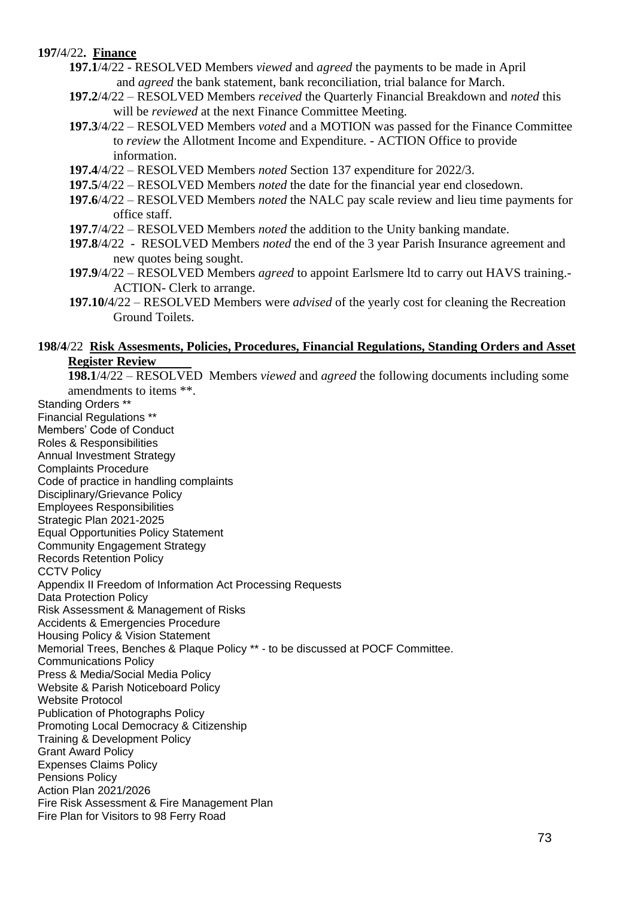# **197/**4/22**. Finance**

- **197.1**/4/22 RESOLVED Members *viewed* and *agreed* the payments to be made in April and *agreed* the bank statement, bank reconciliation, trial balance for March.
- **197.2**/4/22 RESOLVED Members *received* the Quarterly Financial Breakdown and *noted* this will be *reviewed* at the next Finance Committee Meeting.
- **197.3**/4/22 RESOLVED Members *voted* and a MOTION was passed for the Finance Committee to *review* the Allotment Income and Expenditure. - ACTION Office to provide information.
- **197.4**/4/22 RESOLVED Members *noted* Section 137 expenditure for 2022/3.
- **197.5**/4/22 RESOLVED Members *noted* the date for the financial year end closedown.
- **197.6**/4/22 RESOLVED Members *noted* the NALC pay scale review and lieu time payments for office staff.
- **197.7**/4/22 RESOLVED Members *noted* the addition to the Unity banking mandate.
- **197.8**/4/22 RESOLVED Members *noted* the end of the 3 year Parish Insurance agreement and new quotes being sought.
- **197.9**/4/22 RESOLVED Members *agreed* to appoint Earlsmere ltd to carry out HAVS training.- ACTION- Clerk to arrange.
- **197.10/**4/22 RESOLVED Members were *advised* of the yearly cost for cleaning the Recreation Ground Toilets.

#### **198/4**/22 **Risk Assesments, Policies, Procedures, Financial Regulations, Standing Orders and Asset Register Review**

**198.1**/4/22 – RESOLVED Members *viewed* and *agreed* the following documents including some amendments to items \*\*.

Standing Orders \*\* Financial Regulations \*\* Members' Code of Conduct Roles & Responsibilities Annual Investment Strategy Complaints Procedure Code of practice in handling complaints Disciplinary/Grievance Policy Employees Responsibilities Strategic Plan 2021-2025 Equal Opportunities Policy Statement Community Engagement Strategy Records Retention Policy CCTV Policy Appendix II Freedom of Information Act Processing Requests Data Protection Policy Risk Assessment & Management of Risks Accidents & Emergencies Procedure Housing Policy & Vision Statement Memorial Trees, Benches & Plaque Policy \*\* - to be discussed at POCF Committee. Communications Policy Press & Media/Social Media Policy Website & Parish Noticeboard Policy Website Protocol Publication of Photographs Policy Promoting Local Democracy & Citizenship Training & Development Policy Grant Award Policy Expenses Claims Policy Pensions Policy Action Plan 2021/2026 Fire Risk Assessment & Fire Management Plan Fire Plan for Visitors to 98 Ferry Road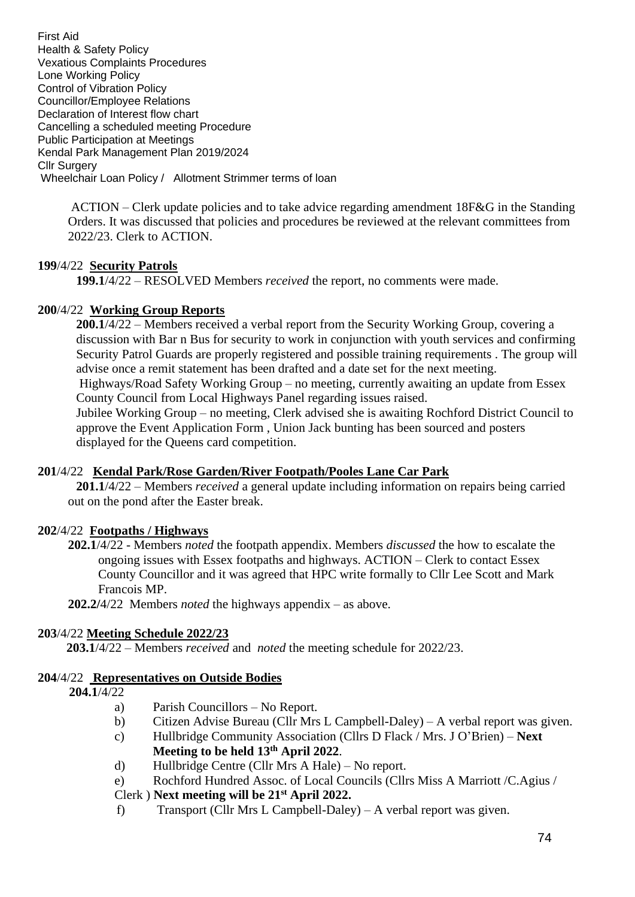First Aid Health & Safety Policy Vexatious Complaints Procedures Lone Working Policy Control of Vibration Policy Councillor/Employee Relations Declaration of Interest flow chart Cancelling a scheduled meeting Procedure Public Participation at Meetings Kendal Park Management Plan 2019/2024 Cllr Surgery Wheelchair Loan Policy / Allotment Strimmer terms of loan

> ACTION – Clerk update policies and to take advice regarding amendment 18F&G in the Standing Orders. It was discussed that policies and procedures be reviewed at the relevant committees from 2022/23. Clerk to ACTION.

# **199**/4/22 **Security Patrols**

**199.1**/4/22 – RESOLVED Members *received* the report, no comments were made.

# **200**/4/22 **Working Group Reports**

**200.1**/4/22 – Members received a verbal report from the Security Working Group, covering a discussion with Bar n Bus for security to work in conjunction with youth services and confirming Security Patrol Guards are properly registered and possible training requirements . The group will advise once a remit statement has been drafted and a date set for the next meeting. Highways/Road Safety Working Group – no meeting, currently awaiting an update from Essex County Council from Local Highways Panel regarding issues raised.

Jubilee Working Group – no meeting, Clerk advised she is awaiting Rochford District Council to approve the Event Application Form , Union Jack bunting has been sourced and posters displayed for the Queens card competition.

# **201**/4/22 **Kendal Park/Rose Garden/River Footpath/Pooles Lane Car Park**

**201.1**/4/22 – Members *received* a general update including information on repairs being carried out on the pond after the Easter break.

# **202**/4/22 **Footpaths / Highways**

**202.1**/4/22 - Members *noted* the footpath appendix. Members *discussed* the how to escalate the ongoing issues with Essex footpaths and highways. ACTION – Clerk to contact Essex County Councillor and it was agreed that HPC write formally to Cllr Lee Scott and Mark Francois MP.

**202.2/**4/22 Members *noted* the highways appendix – as above.

# **203**/4/22 **Meeting Schedule 2022/23**

**203.1**/4/22 – Members *received* and *noted* the meeting schedule for 2022/23.

# **204**/4/22 **Representatives on Outside Bodies**

- **204.1**/4/22
	- a) Parish Councillors No Report.
	- b) Citizen Advise Bureau (Cllr Mrs L Campbell-Daley) A verbal report was given.
	- c) Hullbridge Community Association (Cllrs D Flack / Mrs. J O'Brien) **Next**

**Meeting to be held 13th April 2022**.

- d) Hullbridge Centre (Cllr Mrs A Hale) No report.
- e) Rochford Hundred Assoc. of Local Councils (Cllrs Miss A Marriott /C.Agius /

# Clerk ) **Next meeting will be 21st April 2022.**

f) Transport (Cllr Mrs L Campbell-Daley) – A verbal report was given.